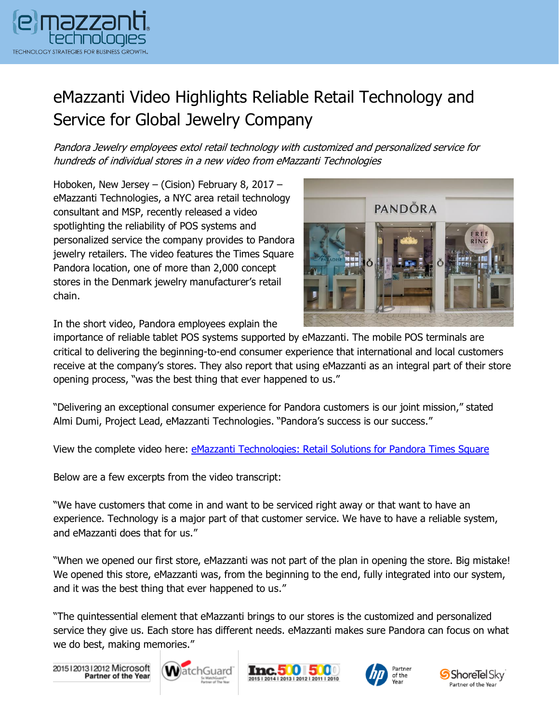

## eMazzanti Video Highlights Reliable Retail Technology and Service for Global Jewelry Company

Pandora Jewelry employees extol retail technology with customized and personalized service for hundreds of individual stores in a new video from eMazzanti Technologies

Hoboken, New Jersey – (Cision) February 8, 2017 – eMazzanti Technologies, a NYC area retail technology consultant and MSP, recently released a video spotlighting the reliability of POS systems and personalized service the company provides to Pandora jewelry retailers. The video features the Times Square Pandora location, one of more than 2,000 concept stores in the Denmark jewelry manufacturer's retail chain.



In the short video, Pandora employees explain the

importance of reliable tablet POS systems supported by eMazzanti. The mobile POS terminals are critical to delivering the beginning-to-end consumer experience that international and local customers receive at the company's stores. They also report that using eMazzanti as an integral part of their store opening process, "was the best thing that ever happened to us."

"Delivering an exceptional consumer experience for Pandora customers is our joint mission," stated Almi Dumi, Project Lead, eMazzanti Technologies. "Pandora's success is our success."

View the complete video here: [eMazzanti Technologies: Retail Solutions for Pandora Times Square](https://www.youtube.com/watch?v=o73nPg-Q0uU)

Below are a few excerpts from the video transcript:

"We have customers that come in and want to be serviced right away or that want to have an experience. Technology is a major part of that customer service. We have to have a reliable system, and eMazzanti does that for us."

"When we opened our first store, eMazzanti was not part of the plan in opening the store. Big mistake! We opened this store, eMazzanti was, from the beginning to the end, fully integrated into our system, and it was the best thing that ever happened to us."

"The quintessential element that eMazzanti brings to our stores is the customized and personalized service they give us. Each store has different needs. eMazzanti makes sure Pandora can focus on what we do best, making memories."

20151201312012 Microsoft<br>Partner of the Year